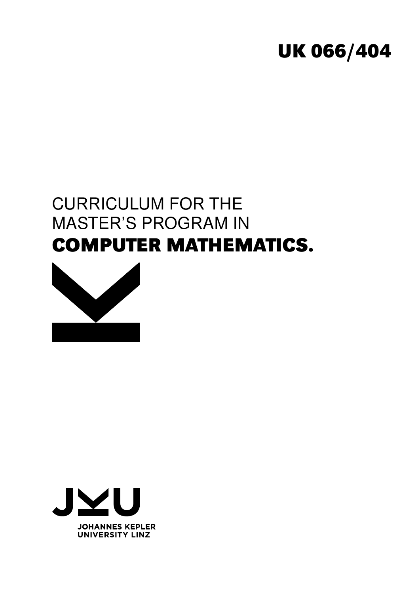# **UK 066/404**

# CURRICULUM FOR THE MASTER'S PROGRAM IN **COMPUTER MATHEMATICS.**



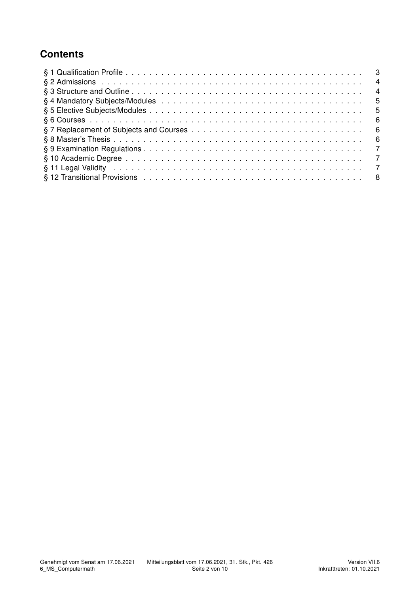## **Contents**

| - 3            |                |
|----------------|----------------|
|                | $\overline{4}$ |
|                | $\overline{4}$ |
|                | .5             |
|                | -5             |
|                | - 6            |
| - 6            |                |
| - 6            |                |
| $\overline{7}$ |                |
|                |                |
| $\overline{7}$ |                |
|                |                |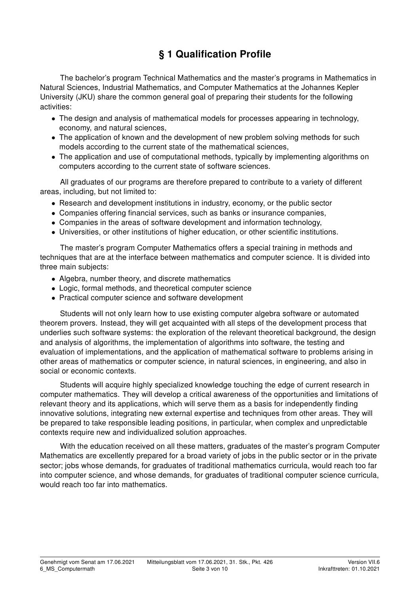## § 1 Qualification Profile

The bachelor's program Technical Mathematics and the master's programs in Mathematics in Natural Sciences, Industrial Mathematics, and Computer Mathematics at the Johannes Kepler University (JKU) share the common general goal of preparing their students for the following activities:

- The design and analysis of mathematical models for processes appearing in technology, economy, and natural sciences,
- The application of known and the development of new problem solving methods for such models according to the current state of the mathematical sciences,
- The application and use of computational methods, typically by implementing algorithms on computers according to the current state of software sciences.

All graduates of our programs are therefore prepared to contribute to a variety of different areas, including, but not limited to:

- Research and development institutions in industry, economy, or the public sector
- Companies offering financial services, such as banks or insurance companies,
- Companies in the areas of software development and information technology,
- Universities, or other institutions of higher education, or other scientific institutions.

The master's program Computer Mathematics offers a special training in methods and techniques that are at the interface between mathematics and computer science. It is divided into three main subjects:

- Algebra, number theory, and discrete mathematics
- Logic, formal methods, and theoretical computer science
- Practical computer science and software development

Students will not only learn how to use existing computer algebra software or automated theorem provers. Instead, they will get acquainted with all steps of the development process that underlies such software systems: the exploration of the relevant theoretical background, the design and analysis of algorithms, the implementation of algorithms into software, the testing and evaluation of implementations, and the application of mathematical software to problems arising in other areas of mathematics or computer science, in natural sciences, in engineering, and also in social or economic contexts.

Students will acquire highly specialized knowledge touching the edge of current research in computer mathematics. They will develop a critical awareness of the opportunities and limitations of relevant theory and its applications, which will serve them as a basis for independently finding innovative solutions, integrating new external expertise and techniques from other areas. They will be prepared to take responsible leading positions, in particular, when complex and unpredictable contexts require new and individualized solution approaches.

With the education received on all these matters, graduates of the master's program Computer Mathematics are excellently prepared for a broad variety of jobs in the public sector or in the private sector; jobs whose demands, for graduates of traditional mathematics curricula, would reach too far into computer science, and whose demands, for graduates of traditional computer science curricula, would reach too far into mathematics.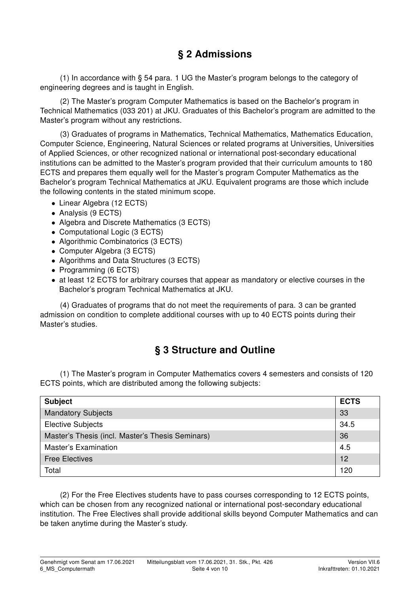### § 2 Admissions

(1) In accordance with § 54 para. 1 UG the Master's program belongs to the category of engineering degrees and is taught in English.

(2) The Master's program Computer Mathematics is based on the Bachelor's program in Technical Mathematics (033 201) at JKU. Graduates of this Bachelor's program are admitted to the Master's program without any restrictions.

(3) Graduates of programs in Mathematics, Technical Mathematics, Mathematics Education, Computer Science, Engineering, Natural Sciences or related programs at Universities, Universities of Applied Sciences, or other recognized national or international post-secondary educational institutions can be admitted to the Master's program provided that their curriculum amounts to 180 ECTS and prepares them equally well for the Master's program Computer Mathematics as the Bachelor's program Technical Mathematics at JKU. Equivalent programs are those which include the following contents in the stated minimum scope.

- Linear Algebra (12 ECTS)
- Analysis (9 ECTS)
- Algebra and Discrete Mathematics (3 ECTS)
- Computational Logic (3 ECTS)
- Algorithmic Combinatorics (3 ECTS)
- Computer Algebra (3 ECTS)
- Algorithms and Data Structures (3 ECTS)
- Programming (6 ECTS)
- at least 12 ECTS for arbitrary courses that appear as mandatory or elective courses in the Bachelor's program Technical Mathematics at JKU.

(4) Graduates of programs that do not meet the requirements of para. 3 can be granted admission on condition to complete additional courses with up to 40 ECTS points during their Master's studies.

#### § 3 Structure and Outline

(1) The Master's program in Computer Mathematics covers 4 semesters and consists of 120 ECTS points, which are distributed among the following subjects:

| <b>Subject</b>                                   | <b>ECTS</b> |  |  |
|--------------------------------------------------|-------------|--|--|
| <b>Mandatory Subjects</b>                        | 33          |  |  |
| <b>Elective Subjects</b>                         | 34.5        |  |  |
| Master's Thesis (incl. Master's Thesis Seminars) |             |  |  |
| <b>Master's Examination</b>                      | 4.5         |  |  |
| <b>Free Electives</b>                            | 12          |  |  |
| Total                                            | 120         |  |  |

(2) For the Free Electives students have to pass courses corresponding to 12 ECTS points, which can be chosen from any recognized national or international post-secondary educational institution. The Free Electives shall provide additional skills beyond Computer Mathematics and can be taken anytime during the Master's study.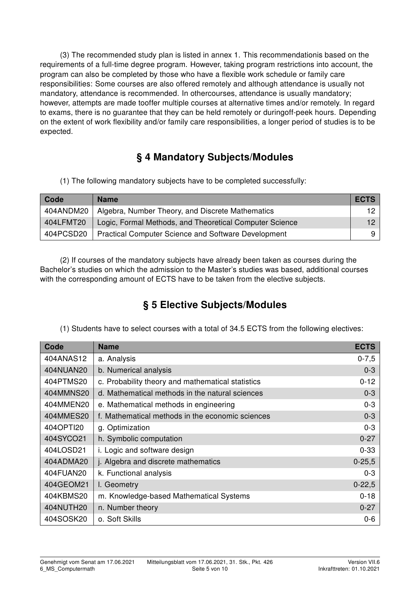(3) The recommended study plan is listed in annex 1. This recommendationis based on the requirements of a full-time degree program. However, taking program restrictions into account, the program can also be completed by those who have a flexible work schedule or family care responsibilities: Some courses are also offered remotely and although attendance is usually not mandatory, attendance is recommended. In othercourses, attendance is usually mandatory; however, attempts are made tooffer multiple courses at alternative times and/or remotely. In regard to exams, there is no guarantee that they can be held remotely or duringoff-peek hours. Depending on the extent of work flexibility and/or family care responsibilities, a longer period of studies is to be expected.

## § 4 Mandatory Subjects/Modules

(1) The following mandatory subjects have to be completed successfully:

| Code      | <b>Name</b>                                                | <b>ECTS</b> |
|-----------|------------------------------------------------------------|-------------|
| 404ANDM20 | Algebra, Number Theory, and Discrete Mathematics           |             |
| 404LFMT20 | Logic, Formal Methods, and Theoretical Computer Science    |             |
| 404PCSD20 | <b>Practical Computer Science and Software Development</b> | q           |

(2) If courses of the mandatory subjects have already been taken as courses during the Bachelor's studies on which the admission to the Master's studies was based, additional courses with the corresponding amount of ECTS have to be taken from the elective subjects.

## § 5 Elective Subjects/Modules

(1) Students have to select courses with a total of 34.5 ECTS from the following electives:

| Code      | <b>Name</b>                                       | <b>ECTS</b> |
|-----------|---------------------------------------------------|-------------|
| 404ANAS12 | a. Analysis                                       | $0 - 7,5$   |
| 404NUAN20 | b. Numerical analysis                             | $0 - 3$     |
| 404PTMS20 | c. Probability theory and mathematical statistics | $0 - 12$    |
| 404MMNS20 | d. Mathematical methods in the natural sciences   | $0 - 3$     |
| 404MMEN20 | e. Mathematical methods in engineering            | $0 - 3$     |
| 404MMES20 | f. Mathematical methods in the economic sciences  | $0 - 3$     |
| 404OPTI20 | g. Optimization                                   | $0 - 3$     |
| 404SYCO21 | h. Symbolic computation                           | $0 - 27$    |
| 404LOSD21 | i. Logic and software design                      | $0 - 33$    |
| 404ADMA20 | j. Algebra and discrete mathematics               | $0 - 25, 5$ |
| 404FUAN20 | k. Functional analysis                            | $0 - 3$     |
| 404GEOM21 | I. Geometry                                       | $0 - 22,5$  |
| 404KBMS20 | m. Knowledge-based Mathematical Systems           | $0 - 18$    |
| 404NUTH20 | n. Number theory                                  | $0 - 27$    |
| 404SOSK20 | o. Soft Skills                                    | $0-6$       |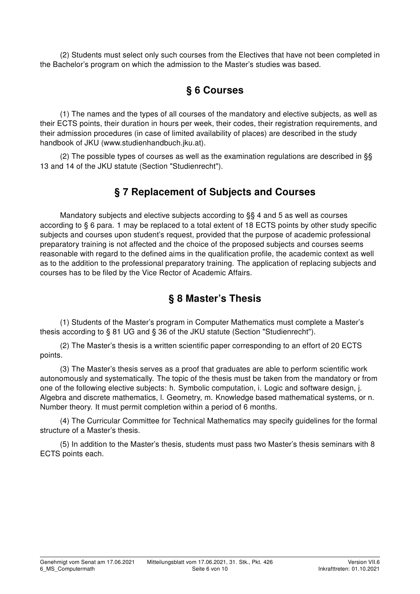(2) Students must select only such courses from the Electives that have not been completed in the Bachelor's program on which the admission to the Master's studies was based.

## § 6 Courses

(1) The names and the types of all courses of the mandatory and elective subjects, as well as their ECTS points, their duration in hours per week, their codes, their registration requirements, and their admission procedures (in case of limited availability of places) are described in the study handbook of JKU (www.studienhandbuch.jku.at).

(2) The possible types of courses as well as the examination regulations are described in §§ 13 and 14 of the JKU statute (Section "Studienrecht").

#### § 7 Replacement of Subjects and Courses

Mandatory subjects and elective subjects according to §§ 4 and 5 as well as courses according to § 6 para. 1 may be replaced to a total extent of 18 ECTS points by other study specific subjects and courses upon student's request, provided that the purpose of academic professional preparatory training is not affected and the choice of the proposed subjects and courses seems reasonable with regard to the defined aims in the qualification profile, the academic context as well as to the addition to the professional preparatory training. The application of replacing subjects and courses has to be filed by the Vice Rector of Academic Affairs.

#### § 8 Master's Thesis

(1) Students of the Master's program in Computer Mathematics must complete a Master's thesis according to § 81 UG and § 36 of the JKU statute (Section "Studienrecht").

(2) The Master's thesis is a written scientific paper corresponding to an effort of 20 ECTS points.

(3) The Master's thesis serves as a proof that graduates are able to perform scientific work autonomously and systematically. The topic of the thesis must be taken from the mandatory or from one of the following elective subjects: h. Symbolic computation, i. Logic and software design, j. Algebra and discrete mathematics, l. Geometry, m. Knowledge based mathematical systems, or n. Number theory. It must permit completion within a period of 6 months.

(4) The Curricular Committee for Technical Mathematics may specify guidelines for the formal structure of a Master's thesis.

(5) In addition to the Master's thesis, students must pass two Master's thesis seminars with 8 ECTS points each.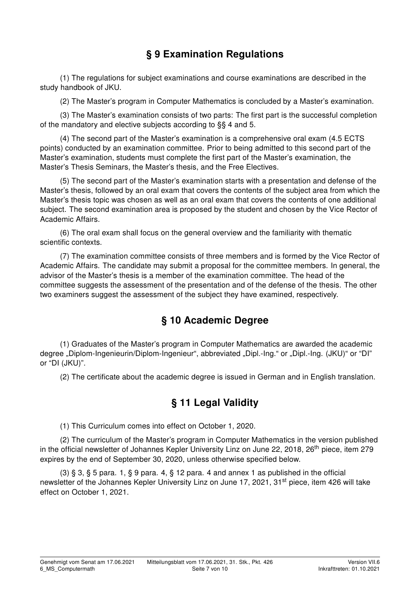## § 9 Examination Regulations

(1) The regulations for subject examinations and course examinations are described in the study handbook of JKU.

(2) The Master's program in Computer Mathematics is concluded by a Master's examination.

(3) The Master's examination consists of two parts: The first part is the successful completion of the mandatory and elective subjects according to §§ 4 and 5.

(4) The second part of the Master's examination is a comprehensive oral exam (4.5 ECTS points) conducted by an examination committee. Prior to being admitted to this second part of the Master's examination, students must complete the first part of the Master's examination, the Master's Thesis Seminars, the Master's thesis, and the Free Electives.

(5) The second part of the Master's examination starts with a presentation and defense of the Master's thesis, followed by an oral exam that covers the contents of the subject area from which the Master's thesis topic was chosen as well as an oral exam that covers the contents of one additional subject. The second examination area is proposed by the student and chosen by the Vice Rector of Academic Affairs.

(6) The oral exam shall focus on the general overview and the familiarity with thematic scientific contexts.

(7) The examination committee consists of three members and is formed by the Vice Rector of Academic Affairs. The candidate may submit a proposal for the committee members. In general, the advisor of the Master's thesis is a member of the examination committee. The head of the committee suggests the assessment of the presentation and of the defense of the thesis. The other two examiners suggest the assessment of the subject they have examined, respectively.

#### § 10 Academic Degree

(1) Graduates of the Master's program in Computer Mathematics are awarded the academic degree "Diplom-Ingenieurin/Diplom-Ingenieur", abbreviated "Dipl.-Ing." or "Dipl.-Ing. (JKU)" or "DI" or "DI (JKU)".

(2) The certificate about the academic degree is issued in German and in English translation.

#### § 11 Legal Validity

(1) This Curriculum comes into effect on October 1, 2020.

(2) The curriculum of the Master's program in Computer Mathematics in the version published in the official newsletter of Johannes Kepler University Linz on June 22, 2018, 26<sup>th</sup> piece, item 279 expires by the end of September 30, 2020, unless otherwise specified below.

(3)  $\S 3$ ,  $\S 5$  para. 1,  $\S 9$  para. 4,  $\S 12$  para. 4 and annex 1 as published in the official newsletter of the Johannes Kepler University Linz on June 17, 2021, 31<sup>st</sup> piece, item 426 will take effect on October 1, 2021.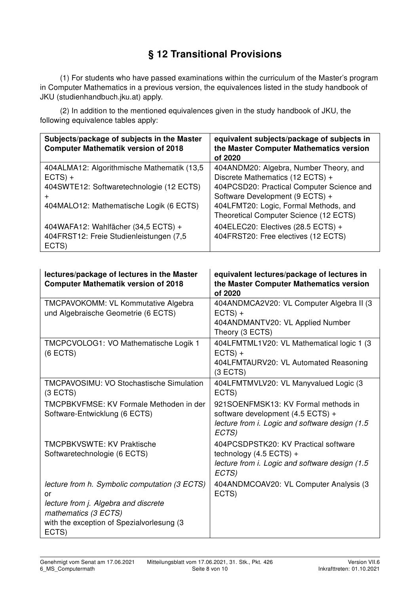## § 12 Transitional Provisions

(1) For students who have passed examinations within the curriculum of the Master's program in Computer Mathematics in a previous version, the equivalences listed in the study handbook of JKU (studienhandbuch.jku.at) apply.

(2) In addition to the mentioned equivalences given in the study handbook of JKU, the following equivalence tables apply:

| Subjects/package of subjects in the Master<br><b>Computer Mathematik version of 2018</b> | equivalent subjects/package of subjects in<br>the Master Computer Mathematics version<br>of 2020 |
|------------------------------------------------------------------------------------------|--------------------------------------------------------------------------------------------------|
| 404ALMA12: Algorithmische Mathematik (13,5<br>$ECTS) +$                                  | 404ANDM20: Algebra, Number Theory, and<br>Discrete Mathematics (12 ECTS) +                       |
| 404SWTE12: Softwaretechnologie (12 ECTS)<br>$\div$                                       | 404PCSD20: Practical Computer Science and<br>Software Development (9 ECTS) +                     |
| 404MALO12: Mathematische Logik (6 ECTS)                                                  | 404LFMT20: Logic, Formal Methods, and<br>Theoretical Computer Science (12 ECTS)                  |
| 404WAFA12: Wahlfächer (34,5 ECTS) +<br>404FRST12: Freie Studienleistungen (7,5<br>ECTS)  | 404ELEC20: Electives (28.5 ECTS) +<br>404FRST20: Free electives (12 ECTS)                        |

| lectures/package of lectures in the Master<br><b>Computer Mathematik version of 2018</b>                                                                                  | equivalent lectures/package of lectures in<br>the Master Computer Mathematics version<br>of 2020                                    |
|---------------------------------------------------------------------------------------------------------------------------------------------------------------------------|-------------------------------------------------------------------------------------------------------------------------------------|
| <b>TMCPAVOKOMM: VL Kommutative Algebra</b><br>und Algebraische Geometrie (6 ECTS)                                                                                         | 404ANDMCA2V20: VL Computer Algebra II (3)<br>$ECTS) +$<br>404ANDMANTV20: VL Applied Number<br>Theory (3 ECTS)                       |
| TMCPCVOLOG1: VO Mathematische Logik 1<br>$(6$ ECTS)                                                                                                                       | 404LFMTML1V20: VL Mathematical logic 1 (3<br>$ECTS) +$<br>404LFMTAURV20: VL Automated Reasoning<br>(3 ECTS)                         |
| <b>TMCPAVOSIMU: VO Stochastische Simulation</b><br>(3 ECTS)                                                                                                               | 404LFMTMVLV20: VL Manyvalued Logic (3<br>ECTS)                                                                                      |
| TMCPBKVFMSE: KV Formale Methoden in der<br>Software-Entwicklung (6 ECTS)                                                                                                  | 921SOENFMSK13: KV Formal methods in<br>software development (4.5 ECTS) +<br>lecture from i. Logic and software design (1.5<br>ECTS) |
| <b>TMCPBKVSWTE: KV Praktische</b><br>Softwaretechnologie (6 ECTS)                                                                                                         | 404PCSDPSTK20: KV Practical software<br>technology $(4.5$ ECTS) +<br>lecture from i. Logic and software design (1.5)<br>ECTS)       |
| lecture from h. Symbolic computation (3 ECTS)<br>or<br>lecture from j. Algebra and discrete<br>mathematics (3 ECTS)<br>with the exception of Spezialvorlesung (3<br>ECTS) | 404ANDMCOAV20: VL Computer Analysis (3<br>ECTS)                                                                                     |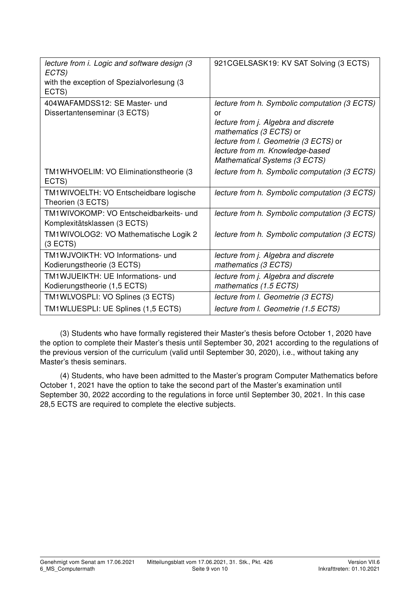| lecture from i. Logic and software design (3<br>ECTS)<br>with the exception of Spezialvorlesung (3<br>ECTS) | 921 CGELSASK19: KV SAT Solving (3 ECTS)                                                                                                                                                                                             |
|-------------------------------------------------------------------------------------------------------------|-------------------------------------------------------------------------------------------------------------------------------------------------------------------------------------------------------------------------------------|
| 404WAFAMDSS12: SE Master- und<br>Dissertantenseminar (3 ECTS)                                               | lecture from h. Symbolic computation (3 ECTS)<br>or<br>lecture from j. Algebra and discrete<br>mathematics (3 ECTS) or<br>lecture from I. Geometrie (3 ECTS) or<br>lecture from m. Knowledge-based<br>Mathematical Systems (3 ECTS) |
| TM1WHVOELIM: VO Eliminationstheorie (3<br>ECTS)                                                             | lecture from h. Symbolic computation (3 ECTS)                                                                                                                                                                                       |
| TM1WIVOELTH: VO Entscheidbare logische<br>Theorien (3 ECTS)                                                 | lecture from h. Symbolic computation (3 ECTS)                                                                                                                                                                                       |
| TM1WIVOKOMP: VO Entscheidbarkeits- und<br>Komplexitätsklassen (3 ECTS)                                      | lecture from h. Symbolic computation (3 ECTS)                                                                                                                                                                                       |
| TM1WIVOLOG2: VO Mathematische Logik 2<br>(3 ECTS)                                                           | lecture from h. Symbolic computation (3 ECTS)                                                                                                                                                                                       |
| TM1WJVOIKTH: VO Informations- und<br>Kodierungstheorie (3 ECTS)                                             | lecture from j. Algebra and discrete<br>mathematics (3 ECTS)                                                                                                                                                                        |
| TM1WJUEIKTH: UE Informations- und<br>Kodierungstheorie (1,5 ECTS)                                           | lecture from j. Algebra and discrete<br>mathematics (1.5 ECTS)                                                                                                                                                                      |
| TM1WLVOSPLI: VO Splines (3 ECTS)                                                                            | lecture from I. Geometrie (3 ECTS)                                                                                                                                                                                                  |
| TM1WLUESPLI: UE Splines (1,5 ECTS)                                                                          | lecture from I. Geometrie (1.5 ECTS)                                                                                                                                                                                                |

(3) Students who have formally registered their Master's thesis before October 1, 2020 have the option to complete their Master's thesis until September 30, 2021 according to the regulations of the previous version of the curriculum (valid until September 30, 2020), i.e., without taking any Master's thesis seminars.

(4) Students, who have been admitted to the Master's program Computer Mathematics before October 1, 2021 have the option to take the second part of the Master's examination until September 30, 2022 according to the regulations in force until September 30, 2021. In this case 28,5 ECTS are required to complete the elective subjects.